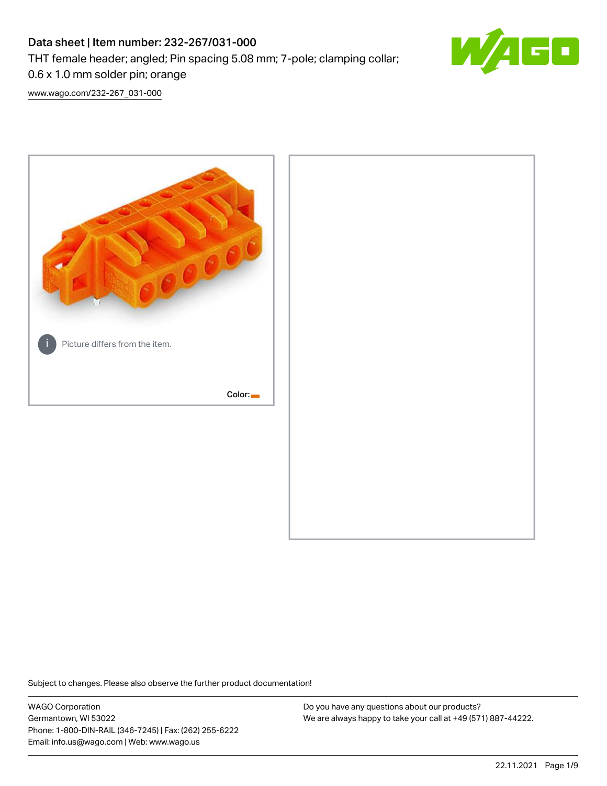# Data sheet | Item number: 232-267/031-000

THT female header; angled; Pin spacing 5.08 mm; 7-pole; clamping collar;



[www.wago.com/232-267\\_031-000](http://www.wago.com/232-267_031-000)

0.6 x 1.0 mm solder pin; orange



Subject to changes. Please also observe the further product documentation!

WAGO Corporation Germantown, WI 53022 Phone: 1-800-DIN-RAIL (346-7245) | Fax: (262) 255-6222 Email: info.us@wago.com | Web: www.wago.us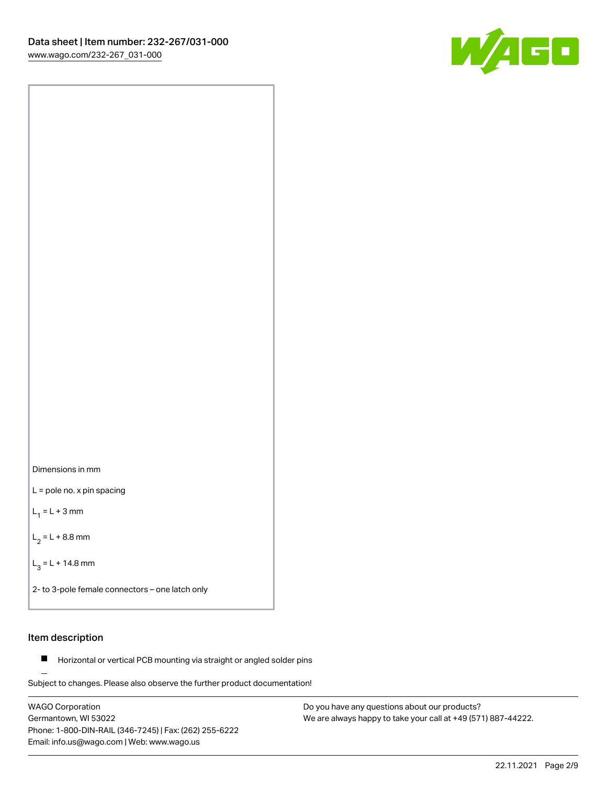

Dimensions in mm

L = pole no. x pin spacing

 $L_1 = L + 3$  mm

 $L_2 = L + 8.8$  mm

 $L_3 = L + 14.8$  mm

2- to 3-pole female connectors – one latch only

## Item description

**Horizontal or vertical PCB mounting via straight or angled solder pins** 

Subject to changes. Please also observe the further product documentation! For board-to-board and board-to-wire connections

WAGO Corporation Germantown, WI 53022 Phone: 1-800-DIN-RAIL (346-7245) | Fax: (262) 255-6222 Email: info.us@wago.com | Web: www.wago.us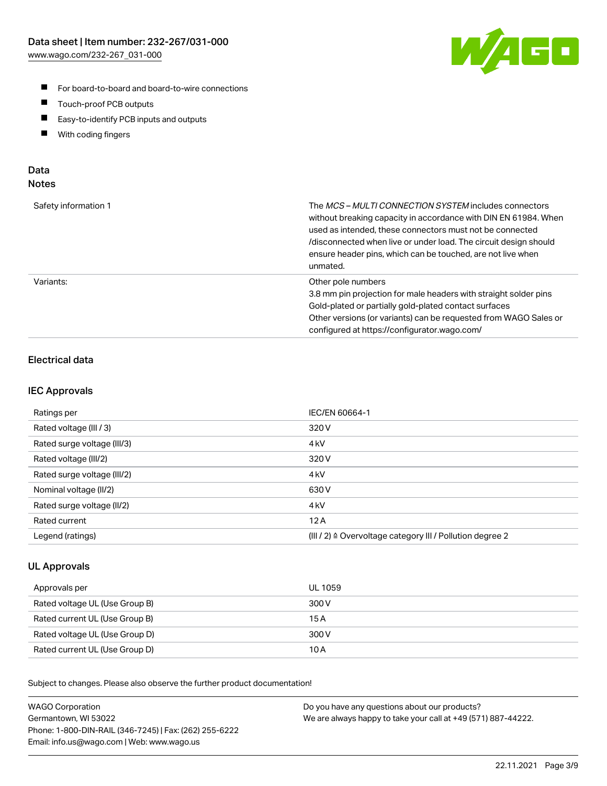

- For board-to-board and board-to-wire connections
- $\blacksquare$ Touch-proof PCB outputs
- $\blacksquare$ Easy-to-identify PCB inputs and outputs
- $\blacksquare$ With coding fingers

## Data **Notes**

| Safety information 1 | The <i>MCS – MULTI CONNECTION SYSTEM</i> includes connectors<br>without breaking capacity in accordance with DIN EN 61984. When<br>used as intended, these connectors must not be connected<br>/disconnected when live or under load. The circuit design should<br>ensure header pins, which can be touched, are not live when<br>unmated. |
|----------------------|--------------------------------------------------------------------------------------------------------------------------------------------------------------------------------------------------------------------------------------------------------------------------------------------------------------------------------------------|
| Variants:            | Other pole numbers<br>3.8 mm pin projection for male headers with straight solder pins<br>Gold-plated or partially gold-plated contact surfaces<br>Other versions (or variants) can be requested from WAGO Sales or<br>configured at https://configurator.wago.com/                                                                        |

## Electrical data

## IEC Approvals

| Ratings per                 | IEC/EN 60664-1                                                        |
|-----------------------------|-----------------------------------------------------------------------|
| Rated voltage (III / 3)     | 320 V                                                                 |
| Rated surge voltage (III/3) | 4 <sub>k</sub> V                                                      |
| Rated voltage (III/2)       | 320 V                                                                 |
| Rated surge voltage (III/2) | 4 <sub>k</sub> V                                                      |
| Nominal voltage (II/2)      | 630 V                                                                 |
| Rated surge voltage (II/2)  | 4 <sub>kV</sub>                                                       |
| Rated current               | 12A                                                                   |
| Legend (ratings)            | $(III / 2)$ $\triangle$ Overvoltage category III / Pollution degree 2 |

## UL Approvals

| Approvals per                  | UL 1059 |
|--------------------------------|---------|
| Rated voltage UL (Use Group B) | 300 V   |
| Rated current UL (Use Group B) | 15 A    |
| Rated voltage UL (Use Group D) | 300 V   |
| Rated current UL (Use Group D) | 10 A    |

| <b>WAGO Corporation</b>                                | Do you have any questions about our products?                 |
|--------------------------------------------------------|---------------------------------------------------------------|
| Germantown, WI 53022                                   | We are always happy to take your call at +49 (571) 887-44222. |
| Phone: 1-800-DIN-RAIL (346-7245)   Fax: (262) 255-6222 |                                                               |
| Email: info.us@wago.com   Web: www.wago.us             |                                                               |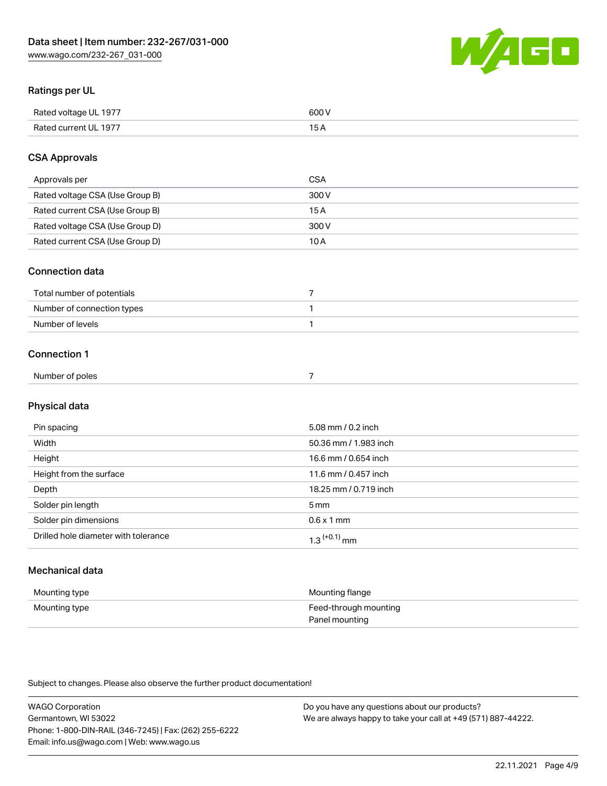

## Ratings per UL

| Rated voltage UL 1977 | soo v<br>วบบ<br>. |
|-----------------------|-------------------|
| Rated current UL 1977 | --                |
|                       | . J <i>r</i>      |

## CSA Approvals

| Approvals per                   | CSA   |
|---------------------------------|-------|
| Rated voltage CSA (Use Group B) | 300 V |
| Rated current CSA (Use Group B) | 15 A  |
| Rated voltage CSA (Use Group D) | 300 V |
| Rated current CSA (Use Group D) | 10 A  |

#### Connection data

| Total number of potentials |  |
|----------------------------|--|
| Number of connection types |  |
| Number of levels           |  |

#### Connection 1

| Number of poles<br>. |  |
|----------------------|--|
|                      |  |

## Physical data

| Pin spacing                          | 5.08 mm / 0.2 inch    |
|--------------------------------------|-----------------------|
| Width                                | 50.36 mm / 1.983 inch |
| Height                               | 16.6 mm / 0.654 inch  |
| Height from the surface              | 11.6 mm / 0.457 inch  |
| Depth                                | 18.25 mm / 0.719 inch |
| Solder pin length                    | 5 <sub>mm</sub>       |
| Solder pin dimensions                | $0.6 \times 1$ mm     |
| Drilled hole diameter with tolerance | $1.3$ $(+0.1)$ mm     |

## Mechanical data

| Mounting type | Mounting flange                         |
|---------------|-----------------------------------------|
| Mounting type | Feed-through mounting<br>Panel mounting |

| <b>WAGO Corporation</b>                                | Do you have any questions about our products?                 |
|--------------------------------------------------------|---------------------------------------------------------------|
| Germantown, WI 53022                                   | We are always happy to take your call at +49 (571) 887-44222. |
| Phone: 1-800-DIN-RAIL (346-7245)   Fax: (262) 255-6222 |                                                               |
| Email: info.us@wago.com   Web: www.wago.us             |                                                               |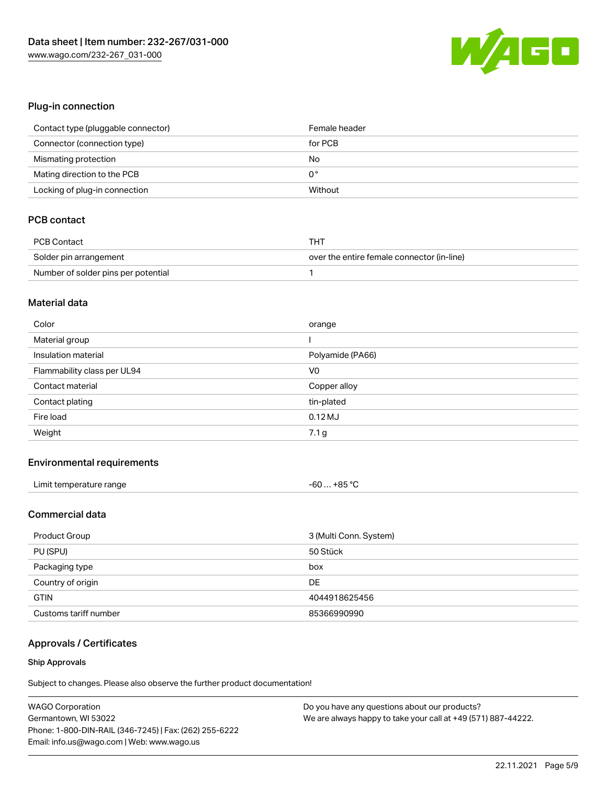

## Plug-in connection

| Contact type (pluggable connector) | Female header |
|------------------------------------|---------------|
| Connector (connection type)        | for PCB       |
| Mismating protection               | No            |
| Mating direction to the PCB        | 0°            |
| Locking of plug-in connection      | Without       |

## PCB contact

| <b>PCB Contact</b>                  | THT                                        |
|-------------------------------------|--------------------------------------------|
| Solder pin arrangement              | over the entire female connector (in-line) |
| Number of solder pins per potential |                                            |

#### Material data

| Color                       | orange           |
|-----------------------------|------------------|
| Material group              |                  |
| Insulation material         | Polyamide (PA66) |
| Flammability class per UL94 | V <sub>0</sub>   |
|                             |                  |
| Contact material            | Copper alloy     |
| Contact plating             | tin-plated       |
| Fire load                   | $0.12$ MJ        |

## Environmental requirements

| Limit temperature range | $-60+85 °C$ |
|-------------------------|-------------|
|-------------------------|-------------|

## Commercial data

| Product Group         | 3 (Multi Conn. System) |
|-----------------------|------------------------|
| PU (SPU)              | 50 Stück               |
| Packaging type        | box                    |
| Country of origin     | DE                     |
| <b>GTIN</b>           | 4044918625456          |
| Customs tariff number | 85366990990            |

## Approvals / Certificates

#### Ship Approvals

| <b>WAGO Corporation</b>                                | Do you have any questions about our products?                 |
|--------------------------------------------------------|---------------------------------------------------------------|
| Germantown, WI 53022                                   | We are always happy to take your call at +49 (571) 887-44222. |
| Phone: 1-800-DIN-RAIL (346-7245)   Fax: (262) 255-6222 |                                                               |
| Email: info.us@wago.com   Web: www.wago.us             |                                                               |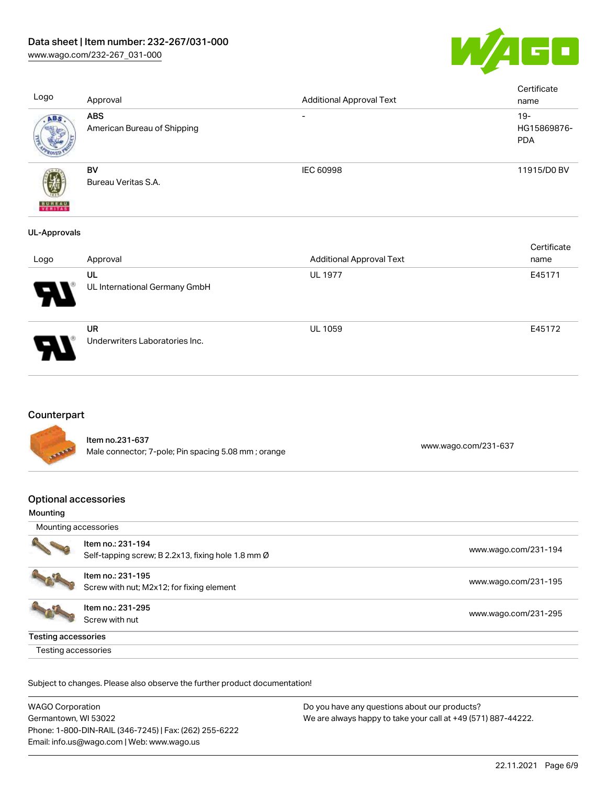

[www.wago.com/232-267\\_031-000](http://www.wago.com/232-267_031-000)

| Logo                          | Approval                                  | <b>Additional Approval Text</b> | Certificate<br>name                 |
|-------------------------------|-------------------------------------------|---------------------------------|-------------------------------------|
| ABS                           | <b>ABS</b><br>American Bureau of Shipping | $\overline{\phantom{0}}$        | $19 -$<br>HG15869876-<br><b>PDA</b> |
| 遡<br><b>BUREAU</b><br>VERITAS | BV<br>Bureau Veritas S.A.                 | <b>IEC 60998</b>                | 11915/D0 BV                         |
| <b>UL-Approvals</b><br>Logo   | Approval                                  | <b>Additional Approval Text</b> | Certificate<br>name                 |

| Logo | Approval                             | <b>Additional Approval Text</b> | name   |
|------|--------------------------------------|---------------------------------|--------|
| Ъ.   | UL<br>UL International Germany GmbH  | <b>UL 1977</b>                  | E45171 |
| Ъ.   | UR<br>Underwriters Laboratories Inc. | <b>UL 1059</b>                  | E45172 |

## **Counterpart**

Item no.231-637 Male connector; 7-pole; Pin spacing 5.08 mm ; orange [www.wago.com/231-637](https://www.wago.com/231-637) www.wago.com/231-637

## Optional accessories

#### Mounting

|                            | Item no.: 231-194<br>Self-tapping screw; B 2.2x13, fixing hole 1.8 mm Ø | www.wago.com/231-194 |
|----------------------------|-------------------------------------------------------------------------|----------------------|
|                            | Item no.: 231-195<br>Screw with nut; M2x12; for fixing element          | www.wago.com/231-195 |
|                            | Item no.: 231-295<br>Screw with nut                                     | www.wago.com/231-295 |
| <b>Testing accessories</b> |                                                                         |                      |
| Testing accessories        |                                                                         |                      |

| <b>WAGO Corporation</b>                                | Do you have any questions about our products?                 |
|--------------------------------------------------------|---------------------------------------------------------------|
| Germantown, WI 53022                                   | We are always happy to take your call at +49 (571) 887-44222. |
| Phone: 1-800-DIN-RAIL (346-7245)   Fax: (262) 255-6222 |                                                               |
| Email: info.us@wago.com   Web: www.wago.us             |                                                               |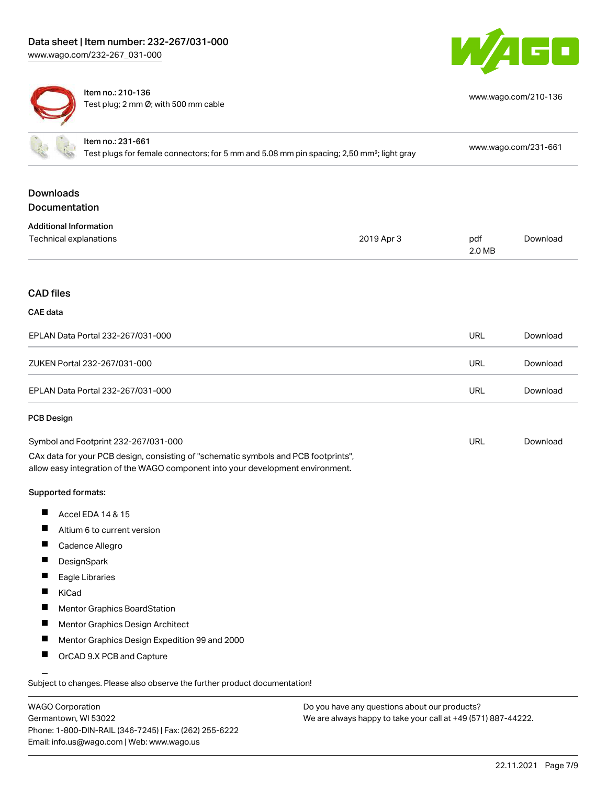Item no.: 231-661



[www.wago.com/210-136](http://www.wago.com/210-136)



Item no.: 210-136 Test plug; 2 mm Ø; with 500 mm cable

| <b>ILGIII IIU ZU I-UU I</b><br>Test plugs for female connectors; for 5 mm and 5.08 mm pin spacing; 2,50 mm <sup>2</sup> ; light gray |                                                                                                                                                                        | www.wago.com/231-661 |               |          |
|--------------------------------------------------------------------------------------------------------------------------------------|------------------------------------------------------------------------------------------------------------------------------------------------------------------------|----------------------|---------------|----------|
| <b>Downloads</b><br>Documentation                                                                                                    |                                                                                                                                                                        |                      |               |          |
| <b>Additional Information</b><br>Technical explanations                                                                              |                                                                                                                                                                        | 2019 Apr 3           | pdf<br>2.0 MB | Download |
| <b>CAD files</b>                                                                                                                     |                                                                                                                                                                        |                      |               |          |
| <b>CAE</b> data                                                                                                                      |                                                                                                                                                                        |                      |               |          |
|                                                                                                                                      | EPLAN Data Portal 232-267/031-000                                                                                                                                      |                      | <b>URL</b>    | Download |
|                                                                                                                                      | ZUKEN Portal 232-267/031-000                                                                                                                                           |                      | <b>URL</b>    | Download |
|                                                                                                                                      | EPLAN Data Portal 232-267/031-000                                                                                                                                      |                      | <b>URL</b>    | Download |
| <b>PCB Design</b>                                                                                                                    |                                                                                                                                                                        |                      |               |          |
|                                                                                                                                      | Symbol and Footprint 232-267/031-000                                                                                                                                   |                      | <b>URL</b>    | Download |
|                                                                                                                                      | CAx data for your PCB design, consisting of "schematic symbols and PCB footprints",<br>allow easy integration of the WAGO component into your development environment. |                      |               |          |
| Supported formats:                                                                                                                   |                                                                                                                                                                        |                      |               |          |
| ш                                                                                                                                    | Accel EDA 14 & 15                                                                                                                                                      |                      |               |          |
| Ш                                                                                                                                    | Altium 6 to current version                                                                                                                                            |                      |               |          |
| ш                                                                                                                                    | Cadence Allegro                                                                                                                                                        |                      |               |          |
| ш<br>DesignSpark                                                                                                                     |                                                                                                                                                                        |                      |               |          |
| П<br>Eagle Libraries                                                                                                                 |                                                                                                                                                                        |                      |               |          |
| KiCad                                                                                                                                |                                                                                                                                                                        |                      |               |          |
|                                                                                                                                      | <b>Mentor Graphics BoardStation</b>                                                                                                                                    |                      |               |          |
| <b>I</b>                                                                                                                             | Mentor Graphics Design Architect                                                                                                                                       |                      |               |          |
|                                                                                                                                      | Mentor Graphics Design Expedition 99 and 2000                                                                                                                          |                      |               |          |
|                                                                                                                                      | OrCAD 9.X PCB and Capture                                                                                                                                              |                      |               |          |
|                                                                                                                                      |                                                                                                                                                                        |                      |               |          |

Subject to changes. Please also observe the further product documentation!

| <b>WAGO Corporation</b>                                |
|--------------------------------------------------------|
| Germantown, WI 53022                                   |
| Phone: 1-800-DIN-RAIL (346-7245)   Fax: (262) 255-6222 |
| Email: info.us@wago.com   Web: www.wago.us             |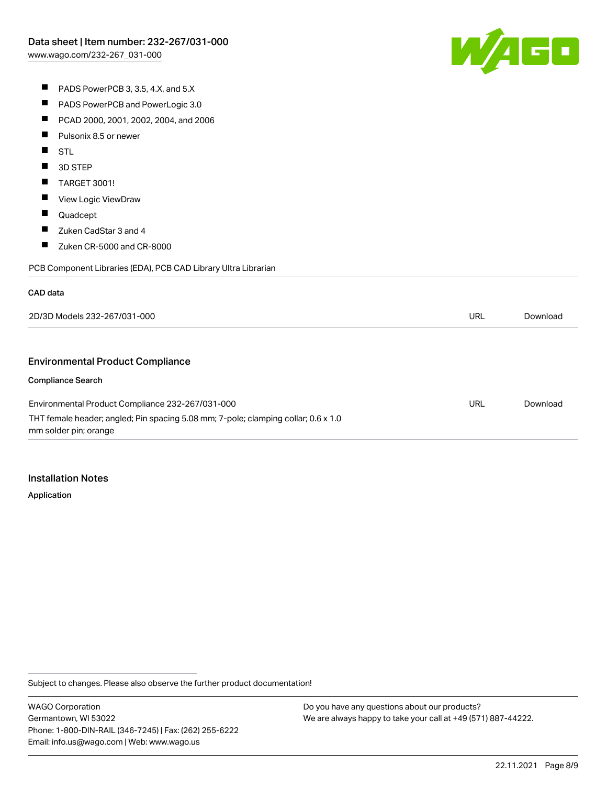[www.wago.com/232-267\\_031-000](http://www.wago.com/232-267_031-000)



|  | PADS PowerPCB 3, 3.5, 4.X, and 5.X |
|--|------------------------------------|
|--|------------------------------------|

- $\blacksquare$ PADS PowerPCB and PowerLogic 3.0
- $\blacksquare$ PCAD 2000, 2001, 2002, 2004, and 2006
- $\blacksquare$ Pulsonix 8.5 or newer
- **STL**
- **3D STEP**
- $\blacksquare$ TARGET 3001!
- $\blacksquare$ View Logic ViewDraw
- $\blacksquare$ Quadcept
- $\blacksquare$ Zuken CadStar 3 and 4
- $\blacksquare$ Zuken CR-5000 and CR-8000

PCB Component Libraries (EDA), PCB CAD Library Ultra Librarian

#### CAD data

| 2D/3D Models 232-267/031-000                                                                                |     | Download |
|-------------------------------------------------------------------------------------------------------------|-----|----------|
|                                                                                                             |     |          |
| <b>Environmental Product Compliance</b>                                                                     |     |          |
| <b>Compliance Search</b>                                                                                    |     |          |
| Environmental Product Compliance 232-267/031-000                                                            | URL | Download |
| THT female header; angled; Pin spacing 5.08 mm; 7-pole; clamping collar; 0.6 x 1.0<br>mm solder pin; orange |     |          |

### Installation Notes

Application

Subject to changes. Please also observe the further product documentation!

WAGO Corporation Germantown, WI 53022 Phone: 1-800-DIN-RAIL (346-7245) | Fax: (262) 255-6222 Email: info.us@wago.com | Web: www.wago.us